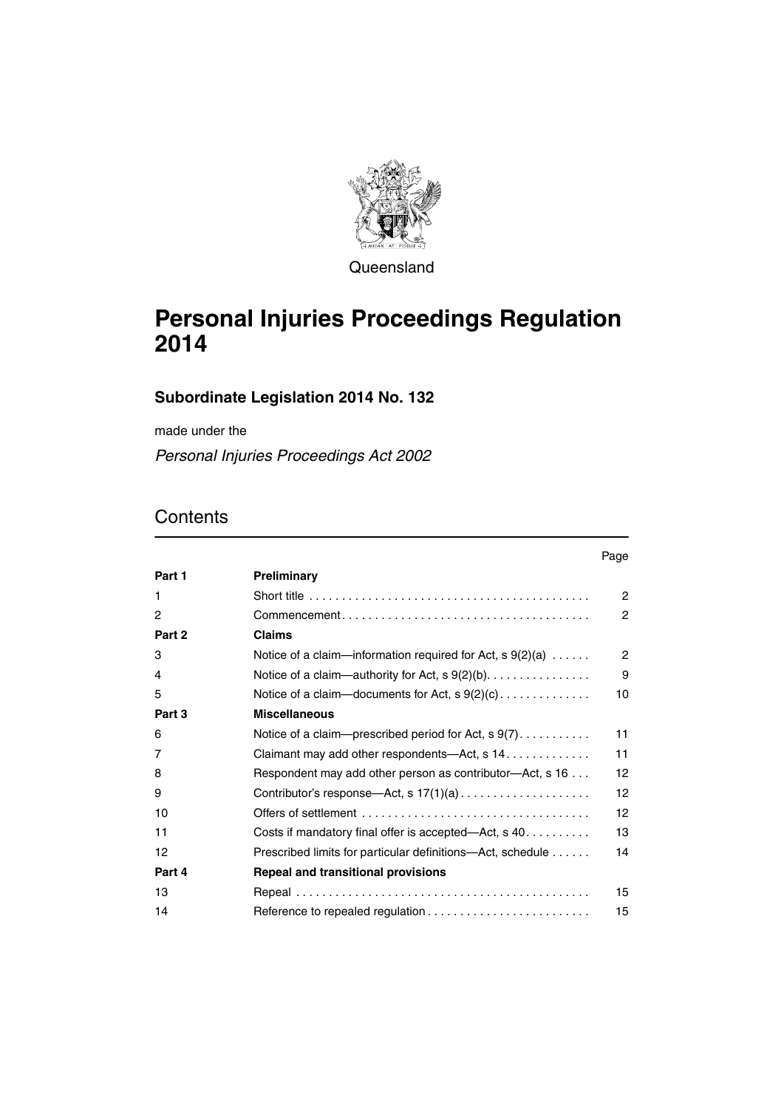

Queensland

# **Personal Injuries Proceedings Regulation 2014**

#### **Subordinate Legislation 2014 No. 132**

made under the

*Personal Injuries Proceedings Act 2002*

### **Contents**

|        |                                                                                            | Page           |
|--------|--------------------------------------------------------------------------------------------|----------------|
| Part 1 | Preliminary                                                                                |                |
| 1      |                                                                                            | $\overline{c}$ |
| 2      | $Commonement \ldots \ldots \ldots \ldots \ldots \ldots \ldots \ldots \ldots \ldots \ldots$ | $\overline{2}$ |
| Part 2 | <b>Claims</b>                                                                              |                |
| 3      | Notice of a claim—information required for Act, $s \theta(2)(a) \dots$ .                   | $\overline{2}$ |
| 4      | Notice of a claim-authority for Act, s 9(2)(b).                                            | 9              |
| 5      | Notice of a claim-documents for Act, $s \theta(2)(c) \dots \dots \dots \dots$              | 10             |
| Part 3 | <b>Miscellaneous</b>                                                                       |                |
| 6      | Notice of a claim—prescribed period for Act, $s \theta(7)$                                 | 11             |
| 7      | Claimant may add other respondents—Act, s 14.                                              | 11             |
| 8      | Respondent may add other person as contributor—Act, s 16                                   | 12             |
| 9      |                                                                                            | 12             |
| 10     |                                                                                            | 12             |
| 11     | Costs if mandatory final offer is accepted—Act, $s$ 40                                     | 13             |
| 12     | Prescribed limits for particular definitions—Act, schedule                                 | 14             |
| Part 4 | <b>Repeal and transitional provisions</b>                                                  |                |
| 13     |                                                                                            | 15             |
| 14     |                                                                                            | 15             |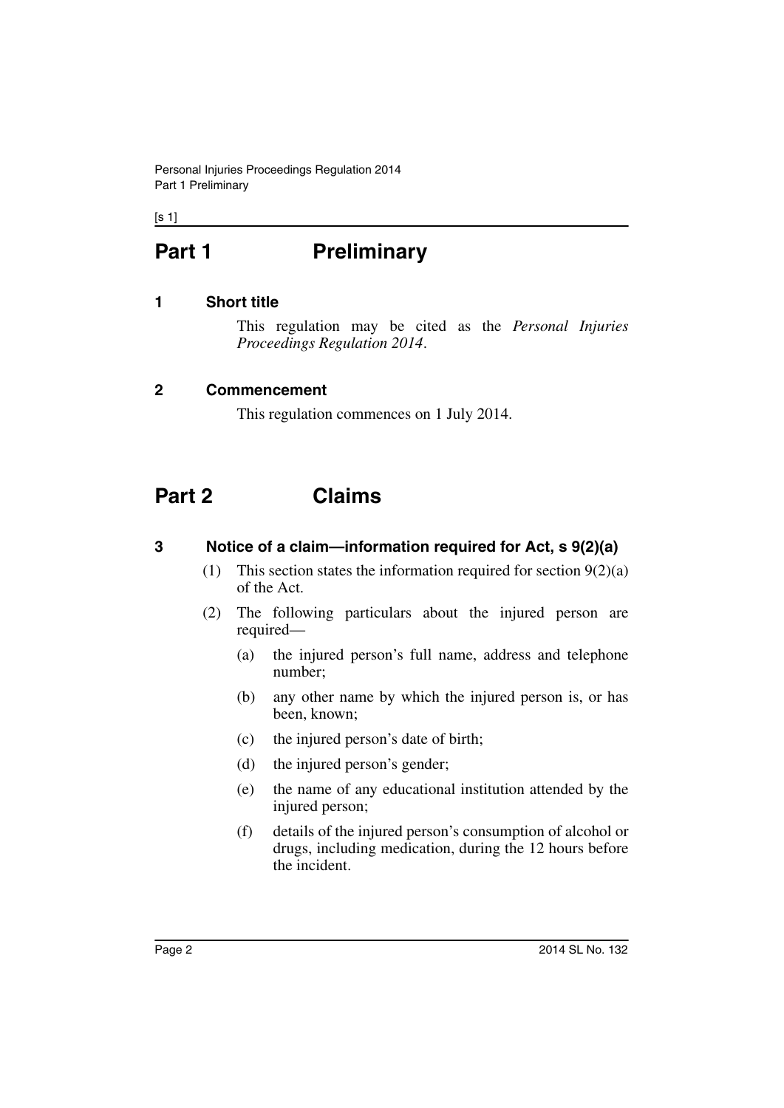Personal Injuries Proceedings Regulation 2014 Part 1 Preliminary

 $[s 1]$ 

# <span id="page-1-0"></span>Part 1 **Preliminary**

#### <span id="page-1-1"></span>**1 Short title**

This regulation may be cited as the *Personal Injuries Proceedings Regulation 2014*.

#### <span id="page-1-2"></span>**2 Commencement**

This regulation commences on 1 July 2014.

## <span id="page-1-3"></span>**Part 2 Claims**

#### <span id="page-1-4"></span>**3 Notice of a claim—information required for Act, s 9(2)(a)**

- (1) This section states the information required for section  $9(2)(a)$ of the Act.
- (2) The following particulars about the injured person are required—
	- (a) the injured person's full name, address and telephone number;
	- (b) any other name by which the injured person is, or has been, known;
	- (c) the injured person's date of birth;
	- (d) the injured person's gender;
	- (e) the name of any educational institution attended by the injured person;
	- (f) details of the injured person's consumption of alcohol or drugs, including medication, during the 12 hours before the incident.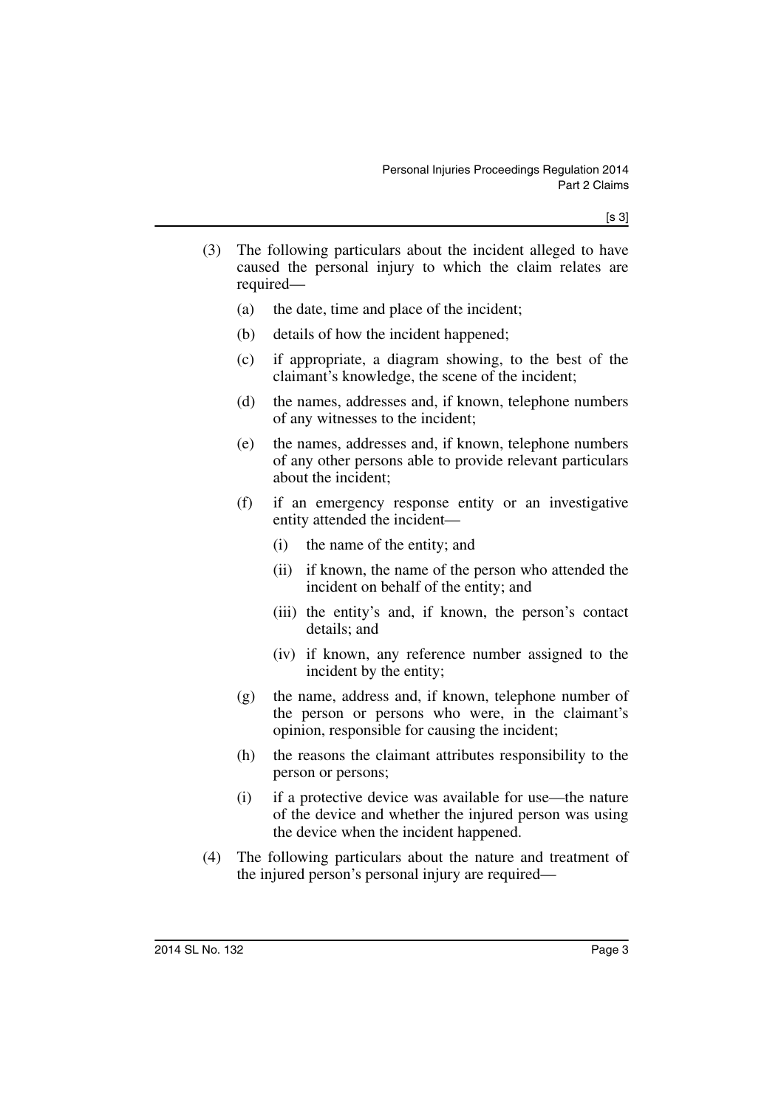- (3) The following particulars about the incident alleged to have caused the personal injury to which the claim relates are required—
	- (a) the date, time and place of the incident;
	- (b) details of how the incident happened;
	- (c) if appropriate, a diagram showing, to the best of the claimant's knowledge, the scene of the incident;
	- (d) the names, addresses and, if known, telephone numbers of any witnesses to the incident;
	- (e) the names, addresses and, if known, telephone numbers of any other persons able to provide relevant particulars about the incident;
	- (f) if an emergency response entity or an investigative entity attended the incident—
		- (i) the name of the entity; and
		- (ii) if known, the name of the person who attended the incident on behalf of the entity; and
		- (iii) the entity's and, if known, the person's contact details; and
		- (iv) if known, any reference number assigned to the incident by the entity;
	- (g) the name, address and, if known, telephone number of the person or persons who were, in the claimant's opinion, responsible for causing the incident;
	- (h) the reasons the claimant attributes responsibility to the person or persons;
	- (i) if a protective device was available for use—the nature of the device and whether the injured person was using the device when the incident happened.
- (4) The following particulars about the nature and treatment of the injured person's personal injury are required—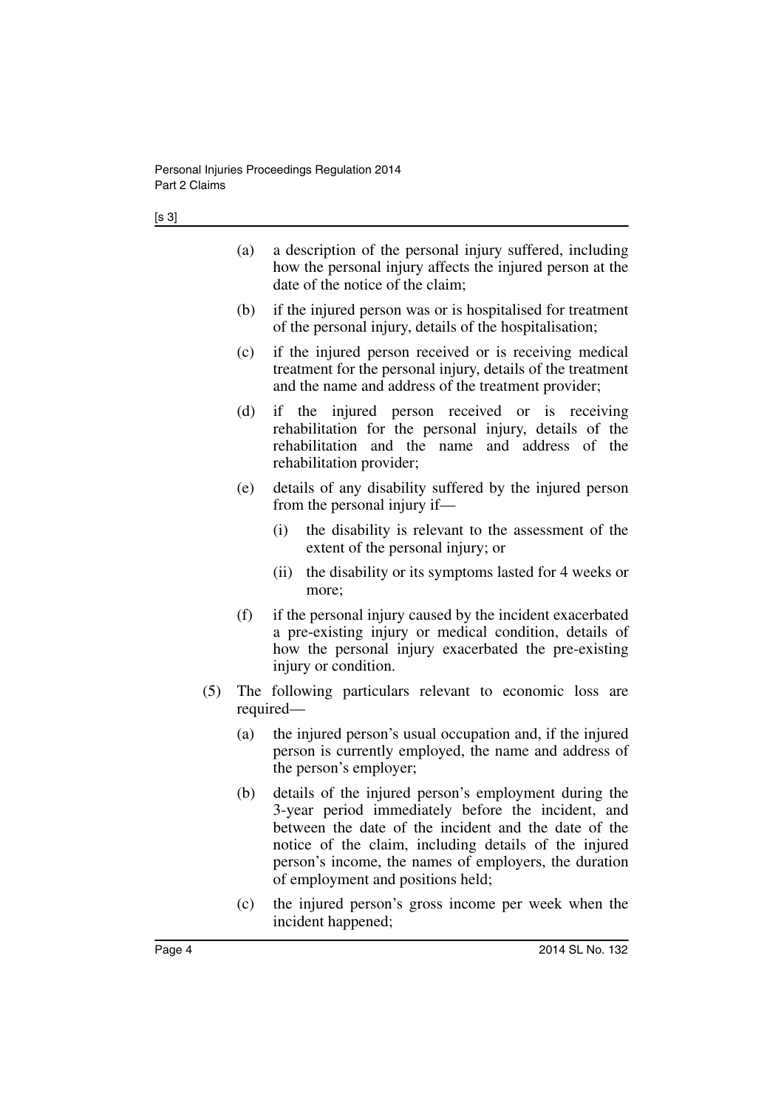- (a) a description of the personal injury suffered, including how the personal injury affects the injured person at the date of the notice of the claim;
- (b) if the injured person was or is hospitalised for treatment of the personal injury, details of the hospitalisation;
- (c) if the injured person received or is receiving medical treatment for the personal injury, details of the treatment and the name and address of the treatment provider;
- (d) if the injured person received or is receiving rehabilitation for the personal injury, details of the rehabilitation and the name and address of the rehabilitation provider;
- (e) details of any disability suffered by the injured person from the personal injury if—
	- (i) the disability is relevant to the assessment of the extent of the personal injury; or
	- (ii) the disability or its symptoms lasted for 4 weeks or more;
- (f) if the personal injury caused by the incident exacerbated a pre-existing injury or medical condition, details of how the personal injury exacerbated the pre-existing injury or condition.
- (5) The following particulars relevant to economic loss are required—
	- (a) the injured person's usual occupation and, if the injured person is currently employed, the name and address of the person's employer;
	- (b) details of the injured person's employment during the 3-year period immediately before the incident, and between the date of the incident and the date of the notice of the claim, including details of the injured person's income, the names of employers, the duration of employment and positions held;
	- (c) the injured person's gross income per week when the incident happened;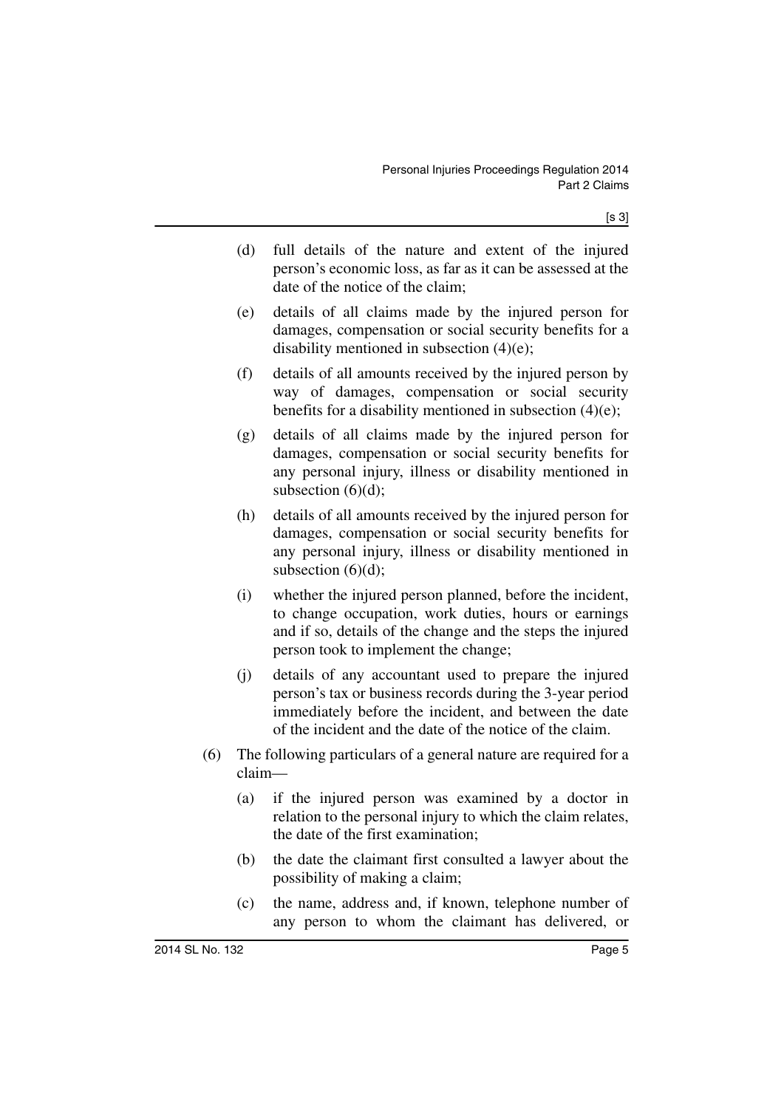- (d) full details of the nature and extent of the injured person's economic loss, as far as it can be assessed at the date of the notice of the claim;
- (e) details of all claims made by the injured person for damages, compensation or social security benefits for a disability mentioned in subsection (4)(e);
- (f) details of all amounts received by the injured person by way of damages, compensation or social security benefits for a disability mentioned in subsection  $(4)(e)$ ;
- (g) details of all claims made by the injured person for damages, compensation or social security benefits for any personal injury, illness or disability mentioned in subsection  $(6)(d)$ ;
- (h) details of all amounts received by the injured person for damages, compensation or social security benefits for any personal injury, illness or disability mentioned in subsection  $(6)(d)$ ;
- (i) whether the injured person planned, before the incident, to change occupation, work duties, hours or earnings and if so, details of the change and the steps the injured person took to implement the change;
- (j) details of any accountant used to prepare the injured person's tax or business records during the 3-year period immediately before the incident, and between the date of the incident and the date of the notice of the claim.
- (6) The following particulars of a general nature are required for a claim—
	- (a) if the injured person was examined by a doctor in relation to the personal injury to which the claim relates, the date of the first examination;
	- (b) the date the claimant first consulted a lawyer about the possibility of making a claim;
	- (c) the name, address and, if known, telephone number of any person to whom the claimant has delivered, or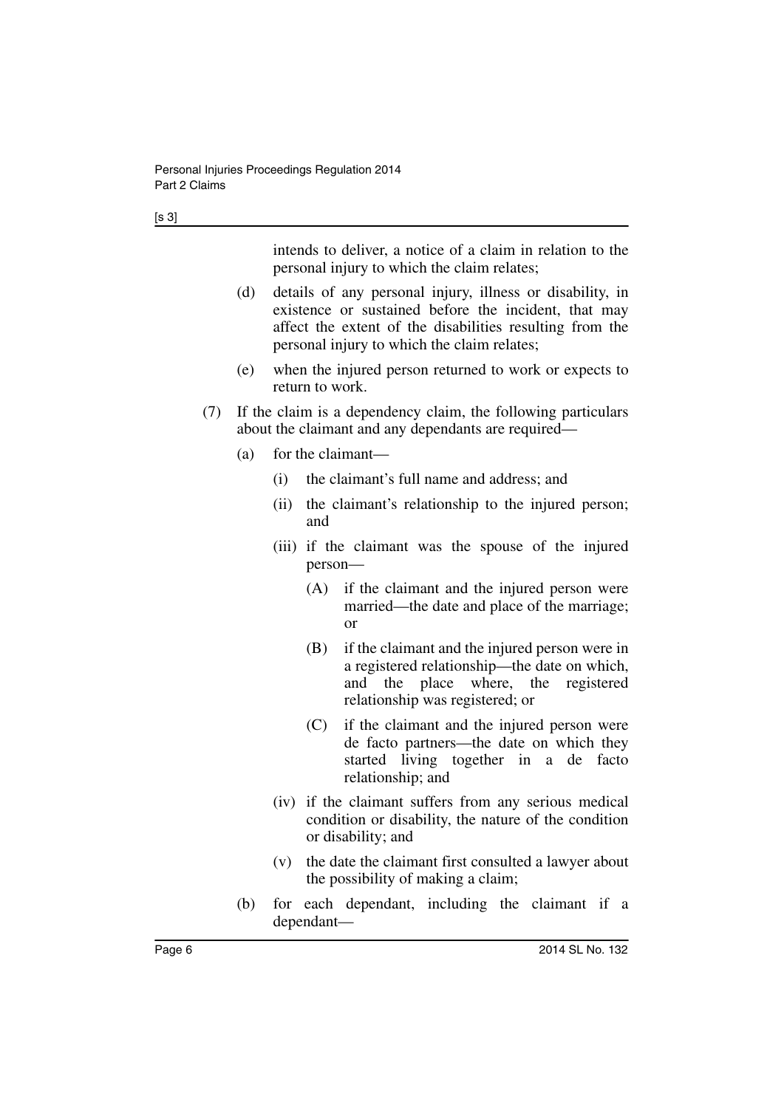intends to deliver, a notice of a claim in relation to the personal injury to which the claim relates;

- (d) details of any personal injury, illness or disability, in existence or sustained before the incident, that may affect the extent of the disabilities resulting from the personal injury to which the claim relates;
- (e) when the injured person returned to work or expects to return to work.
- (7) If the claim is a dependency claim, the following particulars about the claimant and any dependants are required—
	- (a) for the claimant—
		- (i) the claimant's full name and address; and
		- (ii) the claimant's relationship to the injured person; and
		- (iii) if the claimant was the spouse of the injured person—
			- (A) if the claimant and the injured person were married—the date and place of the marriage; or
			- (B) if the claimant and the injured person were in a registered relationship—the date on which, and the place where, the registered relationship was registered; or
			- (C) if the claimant and the injured person were de facto partners—the date on which they started living together in a de facto relationship; and
		- (iv) if the claimant suffers from any serious medical condition or disability, the nature of the condition or disability; and
		- (v) the date the claimant first consulted a lawyer about the possibility of making a claim;
	- (b) for each dependant, including the claimant if a dependant—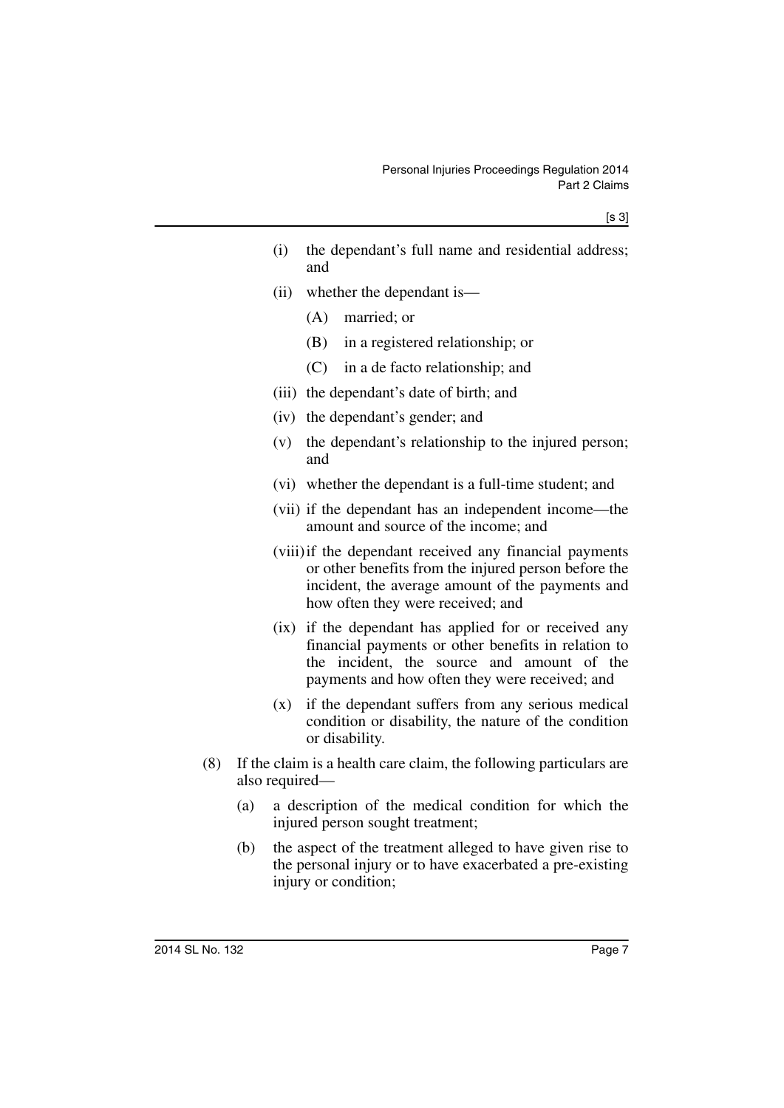- (i) the dependant's full name and residential address; and
- (ii) whether the dependant is—
	- (A) married; or
	- (B) in a registered relationship; or
	- (C) in a de facto relationship; and
- (iii) the dependant's date of birth; and
- (iv) the dependant's gender; and
- (v) the dependant's relationship to the injured person; and
- (vi) whether the dependant is a full-time student; and
- (vii) if the dependant has an independent income—the amount and source of the income; and
- (viii)if the dependant received any financial payments or other benefits from the injured person before the incident, the average amount of the payments and how often they were received; and
- (ix) if the dependant has applied for or received any financial payments or other benefits in relation to the incident, the source and amount of the payments and how often they were received; and
- (x) if the dependant suffers from any serious medical condition or disability, the nature of the condition or disability.
- (8) If the claim is a health care claim, the following particulars are also required—
	- (a) a description of the medical condition for which the injured person sought treatment;
	- (b) the aspect of the treatment alleged to have given rise to the personal injury or to have exacerbated a pre-existing injury or condition;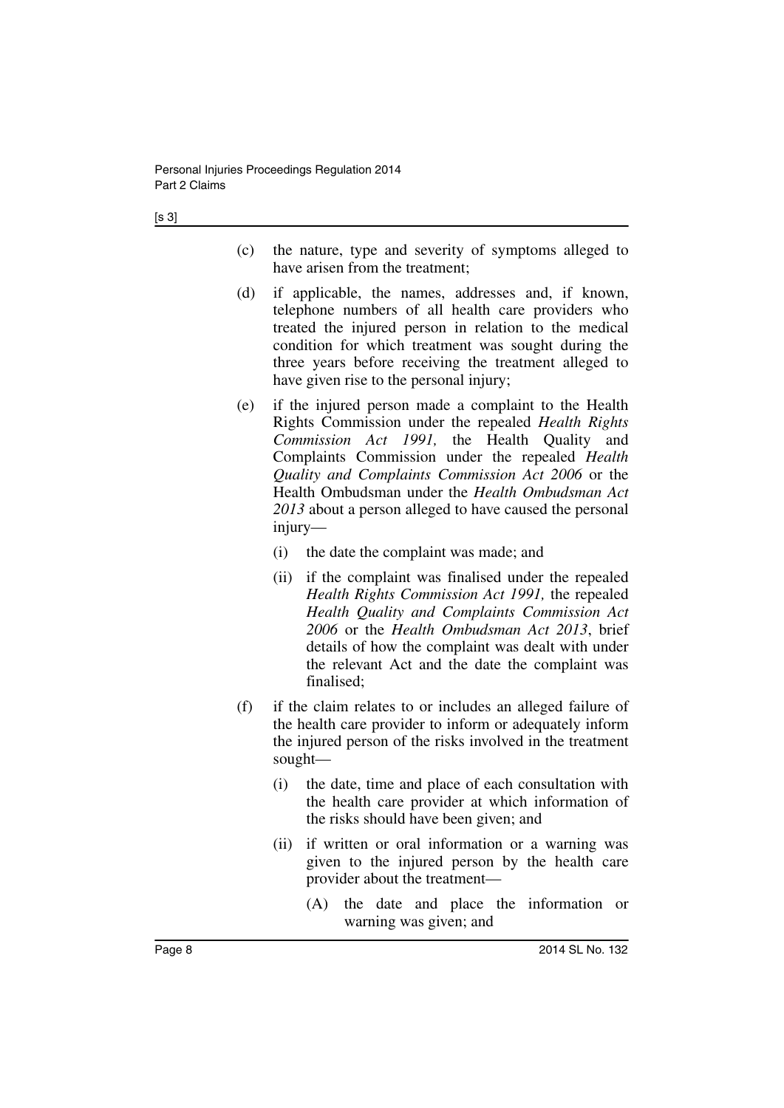- [s 3]
- (c) the nature, type and severity of symptoms alleged to have arisen from the treatment;
- (d) if applicable, the names, addresses and, if known, telephone numbers of all health care providers who treated the injured person in relation to the medical condition for which treatment was sought during the three years before receiving the treatment alleged to have given rise to the personal injury;
- (e) if the injured person made a complaint to the Health Rights Commission under the repealed *Health Rights Commission Act 1991,* the Health Quality and Complaints Commission under the repealed *Health Quality and Complaints Commission Act 2006* or the Health Ombudsman under the *Health Ombudsman Act 2013* about a person alleged to have caused the personal injury—
	- (i) the date the complaint was made; and
	- (ii) if the complaint was finalised under the repealed *Health Rights Commission Act 1991,* the repealed *Health Quality and Complaints Commission Act 2006* or the *Health Ombudsman Act 2013*, brief details of how the complaint was dealt with under the relevant Act and the date the complaint was finalised;
- (f) if the claim relates to or includes an alleged failure of the health care provider to inform or adequately inform the injured person of the risks involved in the treatment sought—
	- (i) the date, time and place of each consultation with the health care provider at which information of the risks should have been given; and
	- (ii) if written or oral information or a warning was given to the injured person by the health care provider about the treatment—
		- (A) the date and place the information or warning was given; and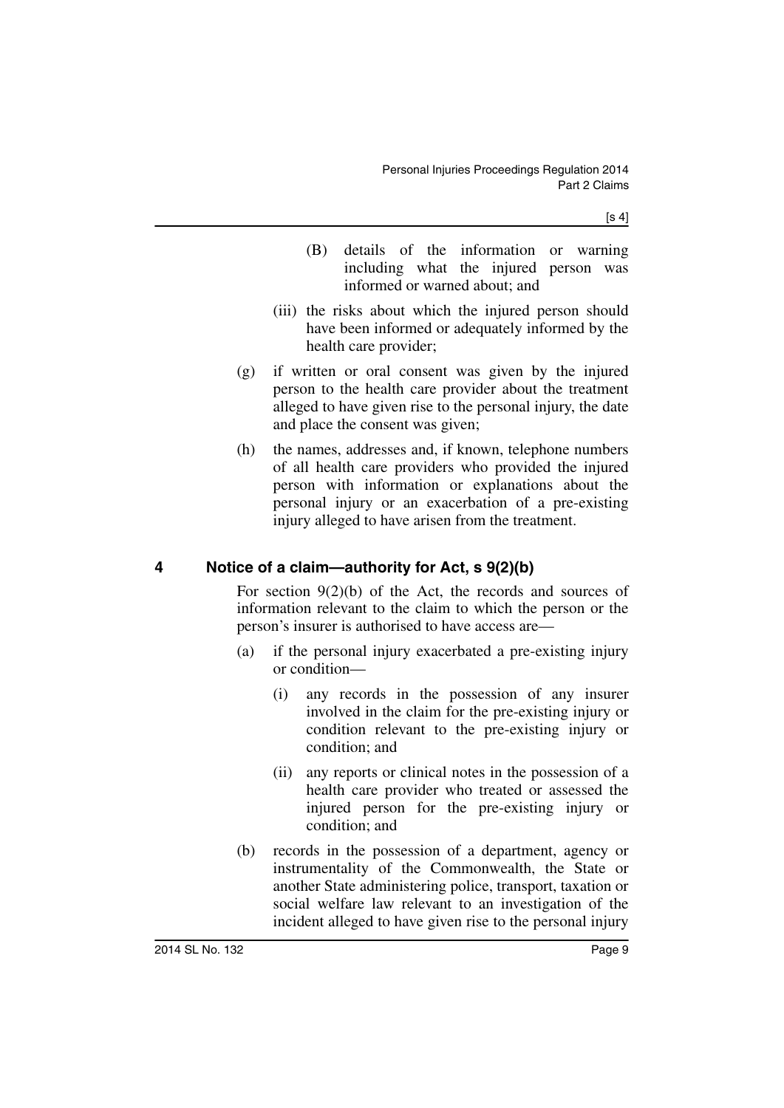$[s 4]$ 

- (B) details of the information or warning including what the injured person was informed or warned about; and
- (iii) the risks about which the injured person should have been informed or adequately informed by the health care provider;
- (g) if written or oral consent was given by the injured person to the health care provider about the treatment alleged to have given rise to the personal injury, the date and place the consent was given;
- (h) the names, addresses and, if known, telephone numbers of all health care providers who provided the injured person with information or explanations about the personal injury or an exacerbation of a pre-existing injury alleged to have arisen from the treatment.

#### <span id="page-8-0"></span>**4 Notice of a claim—authority for Act, s 9(2)(b)**

For section  $9(2)(b)$  of the Act, the records and sources of information relevant to the claim to which the person or the person's insurer is authorised to have access are—

- (a) if the personal injury exacerbated a pre-existing injury or condition—
	- (i) any records in the possession of any insurer involved in the claim for the pre-existing injury or condition relevant to the pre-existing injury or condition; and
	- (ii) any reports or clinical notes in the possession of a health care provider who treated or assessed the injured person for the pre-existing injury or condition; and
- (b) records in the possession of a department, agency or instrumentality of the Commonwealth, the State or another State administering police, transport, taxation or social welfare law relevant to an investigation of the incident alleged to have given rise to the personal injury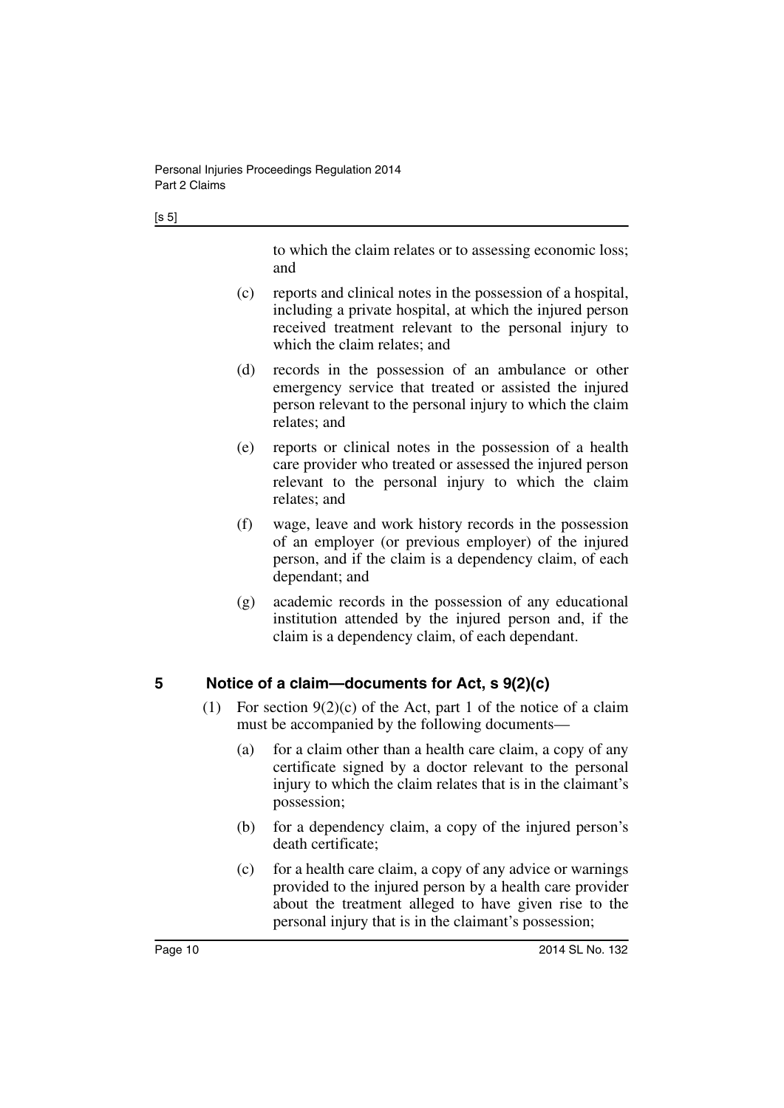$[s 5]$ 

to which the claim relates or to assessing economic loss; and

- (c) reports and clinical notes in the possession of a hospital, including a private hospital, at which the injured person received treatment relevant to the personal injury to which the claim relates; and
- (d) records in the possession of an ambulance or other emergency service that treated or assisted the injured person relevant to the personal injury to which the claim relates; and
- (e) reports or clinical notes in the possession of a health care provider who treated or assessed the injured person relevant to the personal injury to which the claim relates; and
- (f) wage, leave and work history records in the possession of an employer (or previous employer) of the injured person, and if the claim is a dependency claim, of each dependant; and
- (g) academic records in the possession of any educational institution attended by the injured person and, if the claim is a dependency claim, of each dependant.

#### <span id="page-9-0"></span>**5 Notice of a claim—documents for Act, s 9(2)(c)**

- (1) For section  $9(2)(c)$  of the Act, part 1 of the notice of a claim must be accompanied by the following documents—
	- (a) for a claim other than a health care claim, a copy of any certificate signed by a doctor relevant to the personal injury to which the claim relates that is in the claimant's possession;
	- (b) for a dependency claim, a copy of the injured person's death certificate;
	- (c) for a health care claim, a copy of any advice or warnings provided to the injured person by a health care provider about the treatment alleged to have given rise to the personal injury that is in the claimant's possession;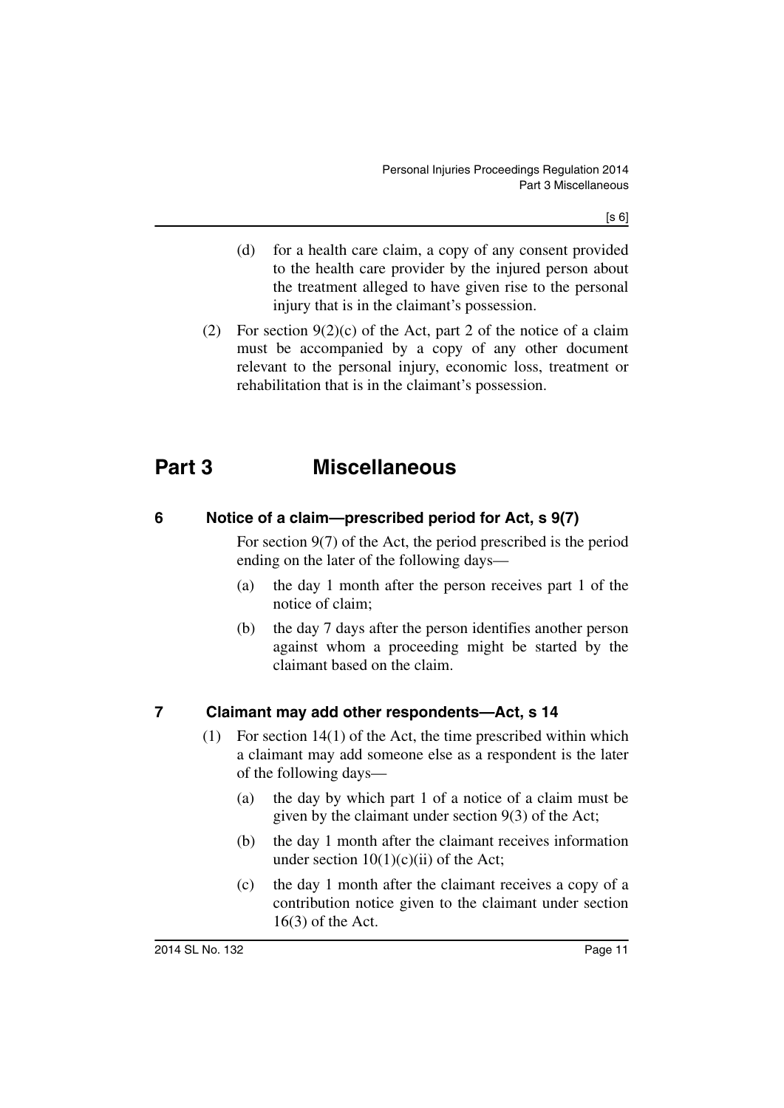- (d) for a health care claim, a copy of any consent provided to the health care provider by the injured person about the treatment alleged to have given rise to the personal injury that is in the claimant's possession.
- (2) For section  $9(2)(c)$  of the Act, part 2 of the notice of a claim must be accompanied by a copy of any other document relevant to the personal injury, economic loss, treatment or rehabilitation that is in the claimant's possession.

## <span id="page-10-0"></span>**Part 3 Miscellaneous**

#### <span id="page-10-1"></span>**6 Notice of a claim—prescribed period for Act, s 9(7)**

For section 9(7) of the Act, the period prescribed is the period ending on the later of the following days—

- (a) the day 1 month after the person receives part 1 of the notice of claim;
- (b) the day 7 days after the person identifies another person against whom a proceeding might be started by the claimant based on the claim.

#### <span id="page-10-2"></span>**7 Claimant may add other respondents—Act, s 14**

- (1) For section 14(1) of the Act, the time prescribed within which a claimant may add someone else as a respondent is the later of the following days—
	- (a) the day by which part 1 of a notice of a claim must be given by the claimant under section 9(3) of the Act;
	- (b) the day 1 month after the claimant receives information under section  $10(1)(c)(ii)$  of the Act:
	- (c) the day 1 month after the claimant receives a copy of a contribution notice given to the claimant under section 16(3) of the Act.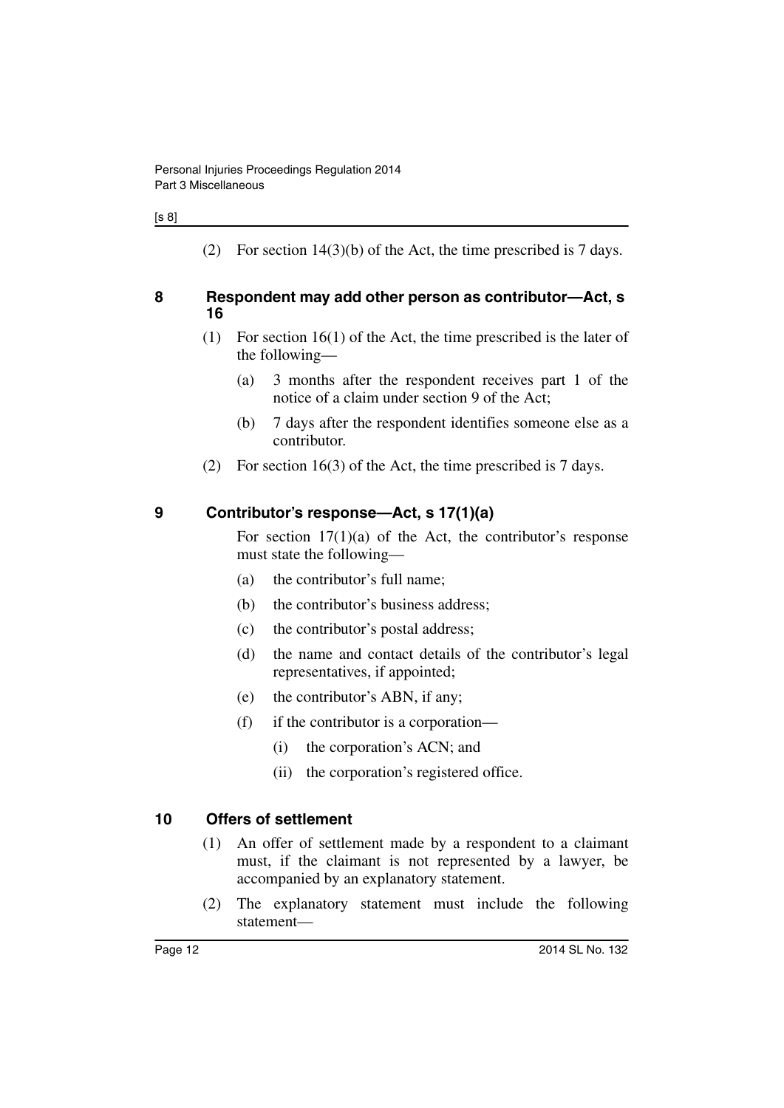#### [s 8]

(2) For section 14(3)(b) of the Act, the time prescribed is 7 days.

#### <span id="page-11-0"></span>**8 Respondent may add other person as contributor—Act, s 16**

- (1) For section 16(1) of the Act, the time prescribed is the later of the following—
	- (a) 3 months after the respondent receives part 1 of the notice of a claim under section 9 of the Act;
	- (b) 7 days after the respondent identifies someone else as a contributor.
- (2) For section 16(3) of the Act, the time prescribed is 7 days.

#### <span id="page-11-1"></span>**9 Contributor's response—Act, s 17(1)(a)**

For section  $17(1)(a)$  of the Act, the contributor's response must state the following—

- (a) the contributor's full name;
- (b) the contributor's business address;
- (c) the contributor's postal address;
- (d) the name and contact details of the contributor's legal representatives, if appointed;
- (e) the contributor's ABN, if any;
- (f) if the contributor is a corporation—
	- (i) the corporation's ACN; and
	- (ii) the corporation's registered office.

#### <span id="page-11-2"></span>**10 Offers of settlement**

- (1) An offer of settlement made by a respondent to a claimant must, if the claimant is not represented by a lawyer, be accompanied by an explanatory statement.
- (2) The explanatory statement must include the following statement—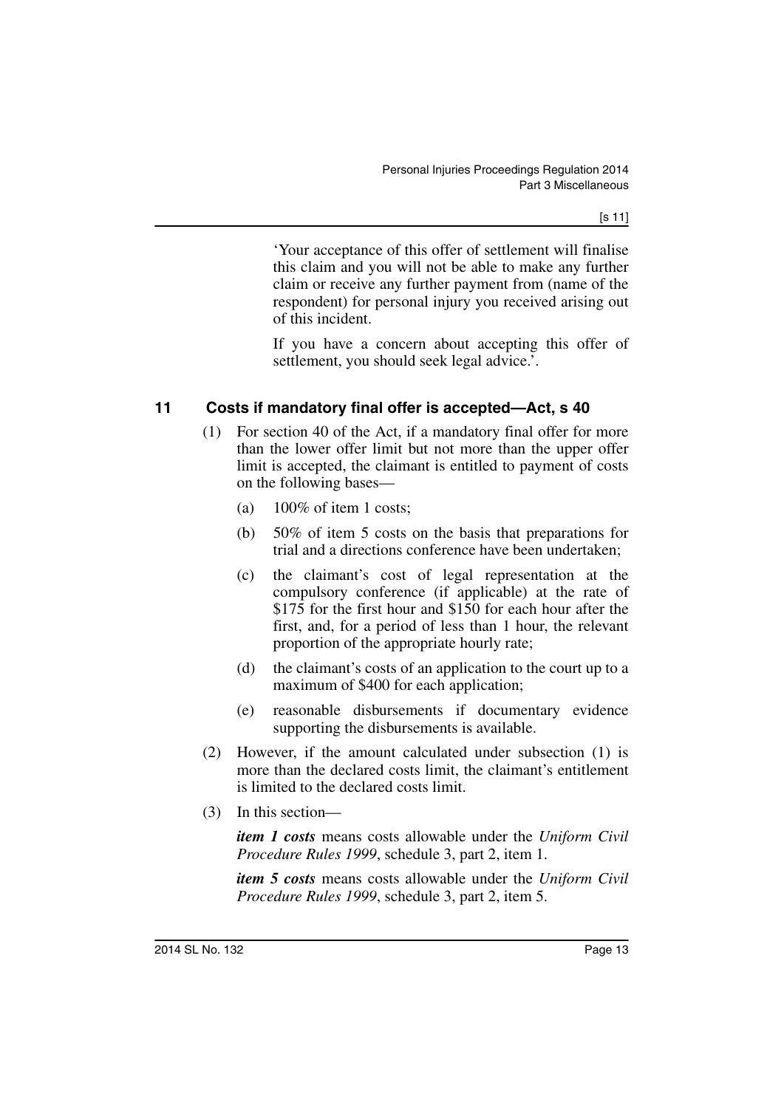'Your acceptance of this offer of settlement will finalise this claim and you will not be able to make any further claim or receive any further payment from (name of the respondent) for personal injury you received arising out of this incident.

If you have a concern about accepting this offer of settlement, you should seek legal advice.'.

#### <span id="page-12-0"></span>**11 Costs if mandatory final offer is accepted—Act, s 40**

- (1) For section 40 of the Act, if a mandatory final offer for more than the lower offer limit but not more than the upper offer limit is accepted, the claimant is entitled to payment of costs on the following bases—
	- (a)  $100\%$  of item 1 costs;
	- (b) 50% of item 5 costs on the basis that preparations for trial and a directions conference have been undertaken;
	- (c) the claimant's cost of legal representation at the compulsory conference (if applicable) at the rate of \$175 for the first hour and \$150 for each hour after the first, and, for a period of less than 1 hour, the relevant proportion of the appropriate hourly rate;
	- (d) the claimant's costs of an application to the court up to a maximum of \$400 for each application;
	- (e) reasonable disbursements if documentary evidence supporting the disbursements is available.
- (2) However, if the amount calculated under subsection (1) is more than the declared costs limit, the claimant's entitlement is limited to the declared costs limit.
- (3) In this section—

*item 1 costs* means costs allowable under the *Uniform Civil Procedure Rules 1999*, schedule 3, part 2, item 1.

*item 5 costs* means costs allowable under the *Uniform Civil Procedure Rules 1999*, schedule 3, part 2, item 5.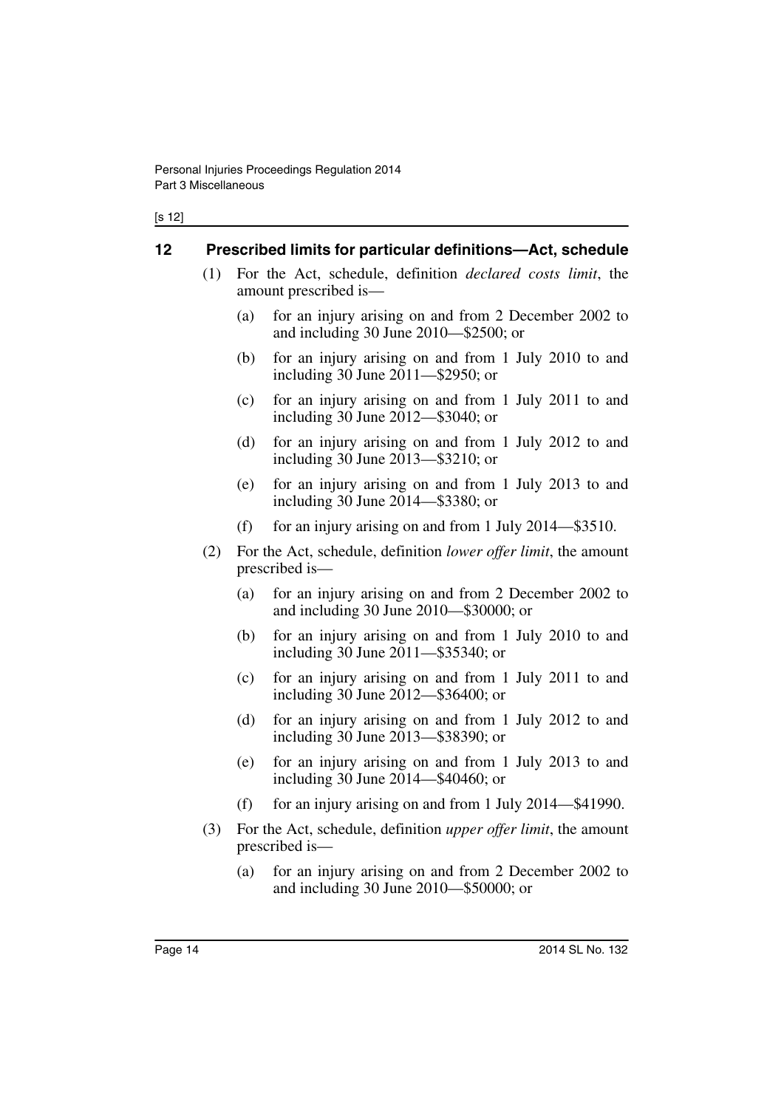#### <span id="page-13-0"></span>**12 Prescribed limits for particular definitions—Act, schedule**

- (1) For the Act, schedule, definition *declared costs limit*, the amount prescribed is—
	- (a) for an injury arising on and from 2 December 2002 to and including 30 June 2010—\$2500; or
	- (b) for an injury arising on and from 1 July 2010 to and including 30 June 2011—\$2950; or
	- (c) for an injury arising on and from 1 July 2011 to and including 30 June 2012—\$3040; or
	- (d) for an injury arising on and from 1 July 2012 to and including 30 June 2013—\$3210; or
	- (e) for an injury arising on and from 1 July 2013 to and including 30 June 2014—\$3380; or
	- (f) for an injury arising on and from 1 July 2014—\$3510.
- (2) For the Act, schedule, definition *lower offer limit*, the amount prescribed is—
	- (a) for an injury arising on and from 2 December 2002 to and including 30 June 2010—\$30000; or
	- (b) for an injury arising on and from 1 July 2010 to and including 30 June 2011—\$35340; or
	- (c) for an injury arising on and from 1 July 2011 to and including 30 June 2012—\$36400; or
	- (d) for an injury arising on and from 1 July 2012 to and including 30 June 2013—\$38390; or
	- (e) for an injury arising on and from 1 July 2013 to and including 30 June 2014—\$40460; or
	- (f) for an injury arising on and from 1 July  $2014$ —\$41990.
- (3) For the Act, schedule, definition *upper offer limit*, the amount prescribed is—
	- (a) for an injury arising on and from 2 December 2002 to and including 30 June 2010—\$50000; or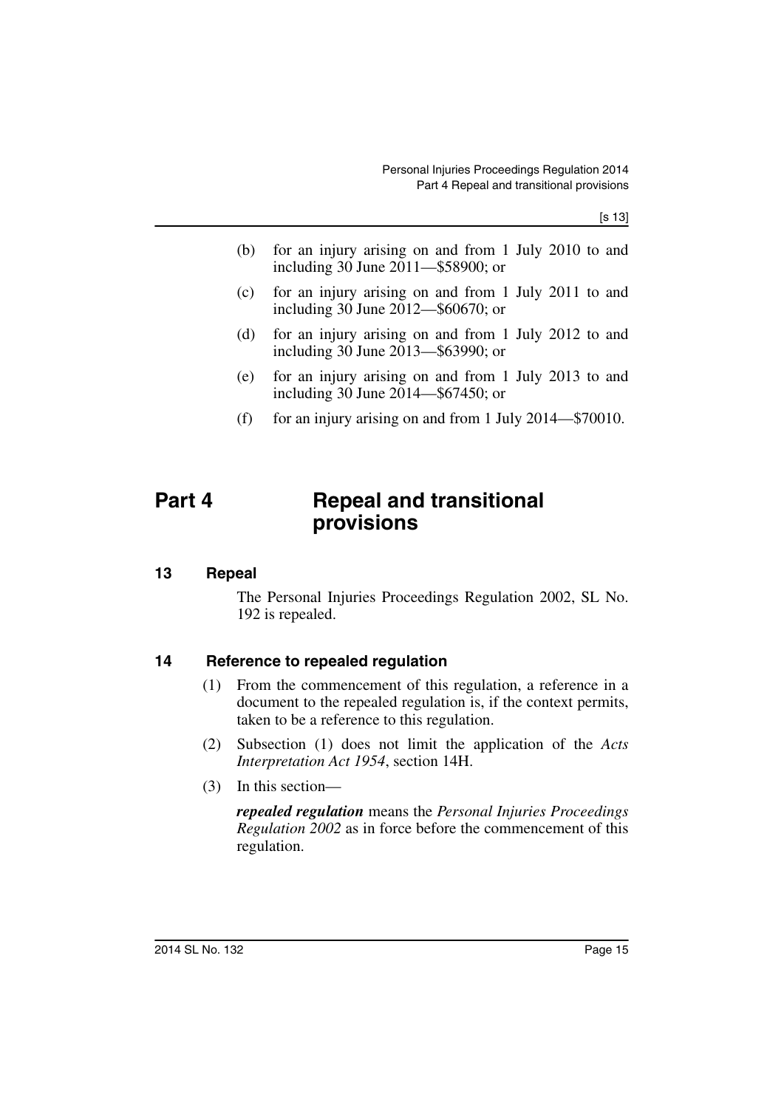[s 13]

- (b) for an injury arising on and from 1 July 2010 to and including 30 June 2011—\$58900; or
- (c) for an injury arising on and from 1 July 2011 to and including 30 June 2012—\$60670; or
- (d) for an injury arising on and from 1 July 2012 to and including 30 June 2013—\$63990; or
- (e) for an injury arising on and from 1 July 2013 to and including 30 June 2014—\$67450; or
- (f) for an injury arising on and from 1 July  $2014 $70010$ .

### <span id="page-14-0"></span>**Part 4 Repeal and transitional provisions**

#### <span id="page-14-1"></span>**13 Repeal**

The Personal Injuries Proceedings Regulation 2002, SL No. 192 is repealed.

#### <span id="page-14-2"></span>**14 Reference to repealed regulation**

- (1) From the commencement of this regulation, a reference in a document to the repealed regulation is, if the context permits, taken to be a reference to this regulation.
- (2) Subsection (1) does not limit the application of the *Acts Interpretation Act 1954*, section 14H.
- (3) In this section—

*repealed regulation* means the *Personal Injuries Proceedings Regulation 2002* as in force before the commencement of this regulation.